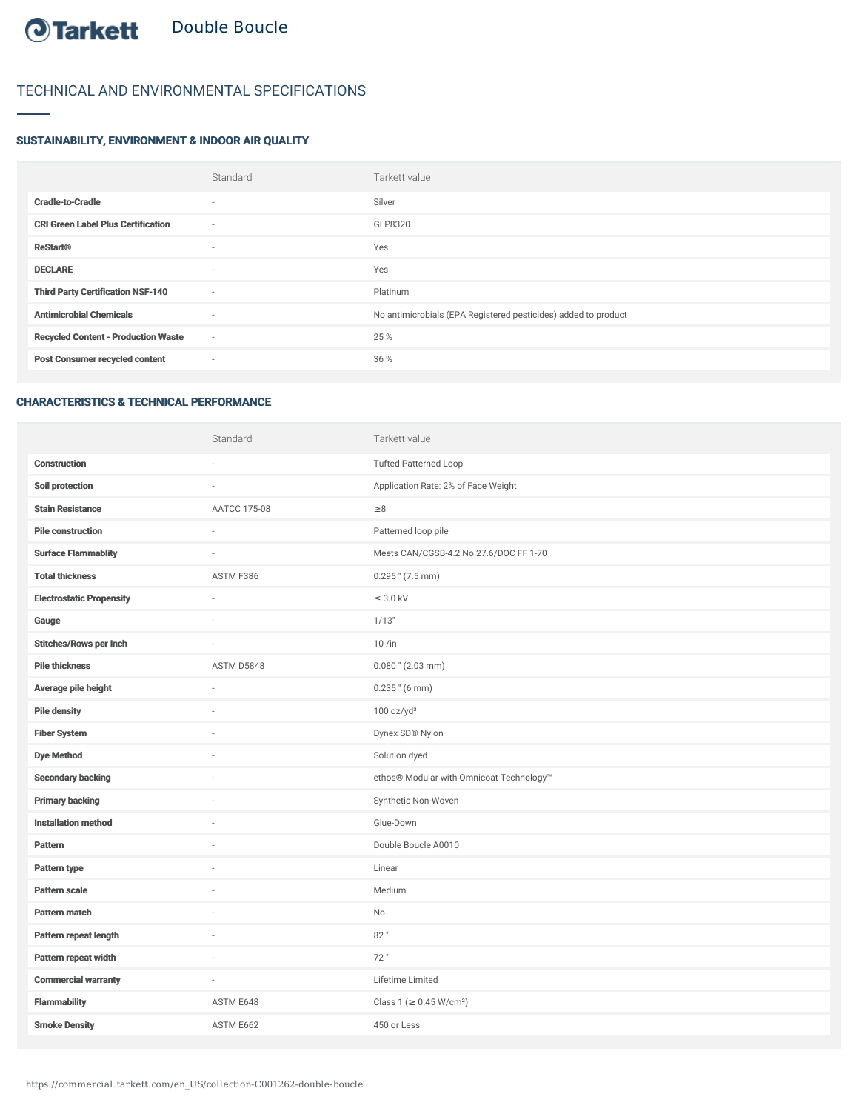## TECHNICAL AND ENVIRONMENTAL SPECIFICATIONS

## SUSTAINABILITY, ENVIRONMENT & INDOOR AIR QUALITY

|                                            | Standard                 | Tarkett value                                                  |
|--------------------------------------------|--------------------------|----------------------------------------------------------------|
| <b>Cradle-to-Cradle</b>                    | $\overline{\phantom{a}}$ | Silver                                                         |
| <b>CRI Green Label Plus Certification</b>  | $\sim$                   | GLP8320                                                        |
| <b>ReStart®</b>                            | $\sim$                   | Yes                                                            |
| <b>DECLARE</b>                             | $\sim$                   | Yes                                                            |
| <b>Third Party Certification NSF-140</b>   | $\sim$                   | Platinum                                                       |
| <b>Antimicrobial Chemicals</b>             | $\overline{\phantom{a}}$ | No antimicrobials (EPA Registered pesticides) added to product |
| <b>Recycled Content - Production Waste</b> | $\sim$                   | 25 %                                                           |
| <b>Post Consumer recycled content</b>      | $\sim$                   | 36 %                                                           |
|                                            |                          |                                                                |

## CHARACTERISTICS & TECHNICAL PERFORMANCE

|                                 | Standard     | Tarkett value                            |
|---------------------------------|--------------|------------------------------------------|
| <b>Construction</b>             | ä,           | <b>Tufted Patterned Loop</b>             |
| Soil protection                 |              | Application Rate: 2% of Face Weight      |
| <b>Stain Resistance</b>         | AATCC 175-08 | $\geq 8$                                 |
| <b>Pile construction</b>        | J.           | Patterned loop pile                      |
| <b>Surface Flammablity</b>      |              | Meets CAN/CGSB-4.2 No.27.6/DOC FF 1-70   |
| <b>Total thickness</b>          | ASTM F386    | $0.295$ " $(7.5$ mm)                     |
| <b>Electrostatic Propensity</b> | ÷,           | $\leq$ 3.0 kV                            |
| Gauge                           | J.           | 1/13"                                    |
| <b>Stitches/Rows per Inch</b>   |              | $10/$ in                                 |
| <b>Pile thickness</b>           | ASTM D5848   | $0.080$ " (2.03 mm)                      |
| Average pile height             | J.           | $0.235$ " (6 mm)                         |
| <b>Pile density</b>             | ä,           | 100 oz/yd <sup>3</sup>                   |
| <b>Fiber System</b>             | ä,           | Dynex SD® Nylon                          |
| <b>Dye Method</b>               | ÷,           | Solution dyed                            |
| <b>Secondary backing</b>        |              | ethos® Modular with Omnicoat Technology™ |
| <b>Primary backing</b>          |              | Synthetic Non-Woven                      |
| <b>Installation method</b>      | J.           | Glue-Down                                |
| <b>Pattern</b>                  |              | Double Boucle A0010                      |
| Pattern type                    |              | Linear                                   |
| <b>Pattern scale</b>            | ä,           | Medium                                   |
| <b>Pattern match</b>            |              | No                                       |
| Pattern repeat length           |              | 82"                                      |
| Pattern repeat width            | ä,           | 72"                                      |
| <b>Commercial warranty</b>      | J.           | Lifetime Limited                         |
| <b>Flammability</b>             | ASTM E648    | Class 1 (≥ 0.45 W/cm <sup>2</sup> )      |
| <b>Smoke Density</b>            | ASTM E662    | 450 or Less                              |